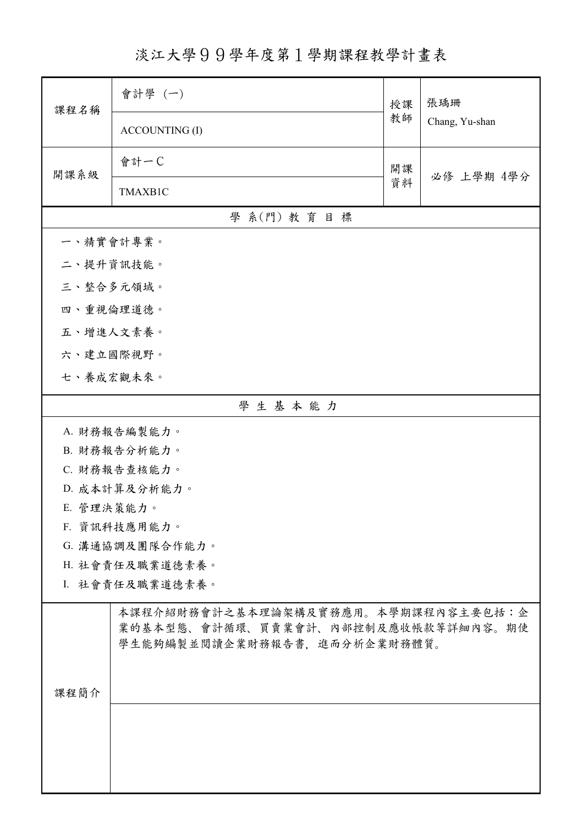淡江大學99學年度第1學期課程教學計畫表

| 課程名稱       | 會計學 (一)                                                                                                    | 授課 | 張瑀珊<br>Chang, Yu-shan |
|------------|------------------------------------------------------------------------------------------------------------|----|-----------------------|
|            | <b>ACCOUNTING (I)</b>                                                                                      | 教師 |                       |
| 開課系級       | 會計一C                                                                                                       | 開課 | 必修 上學期 4學分            |
|            | TMAXB1C                                                                                                    | 資料 |                       |
|            | 學 系(門) 教育目標                                                                                                |    |                       |
| 一、精實會計專業。  |                                                                                                            |    |                       |
| 二、提升資訊技能。  |                                                                                                            |    |                       |
|            | 三、整合多元領域。                                                                                                  |    |                       |
| 四、重視倫理道德。  |                                                                                                            |    |                       |
|            | 五、增進人文素養。                                                                                                  |    |                       |
| 六、建立國際視野。  |                                                                                                            |    |                       |
|            | 七、養成宏觀未來。                                                                                                  |    |                       |
| 學生基本能力     |                                                                                                            |    |                       |
|            | A. 財務報告編製能力。                                                                                               |    |                       |
|            | B. 財務報告分析能力。                                                                                               |    |                       |
|            | C. 財務報告查核能力。                                                                                               |    |                       |
|            | D. 成本計算及分析能力。                                                                                              |    |                       |
| E. 管理決策能力。 |                                                                                                            |    |                       |
|            | F. 資訊科技應用能力。                                                                                               |    |                       |
|            | G. 溝通協調及團隊合作能力。                                                                                            |    |                       |
|            | H. 社會責任及職業道德素養。                                                                                            |    |                       |
|            | I. 社會責任及職業道德素養。                                                                                            |    |                       |
|            | 本課程介紹財務會計之基本理論架構及實務應用。本學期課程內容主要包括:企<br>業的基本型態、會計循環、買賣業會計、內部控制及應收帳款等詳細內容。期使<br>學生能夠編製並閱讀企業財務報告書,進而分析企業財務體質。 |    |                       |
|            |                                                                                                            |    |                       |
|            |                                                                                                            |    |                       |
| 課程簡介       |                                                                                                            |    |                       |
|            |                                                                                                            |    |                       |
|            |                                                                                                            |    |                       |
|            |                                                                                                            |    |                       |
|            |                                                                                                            |    |                       |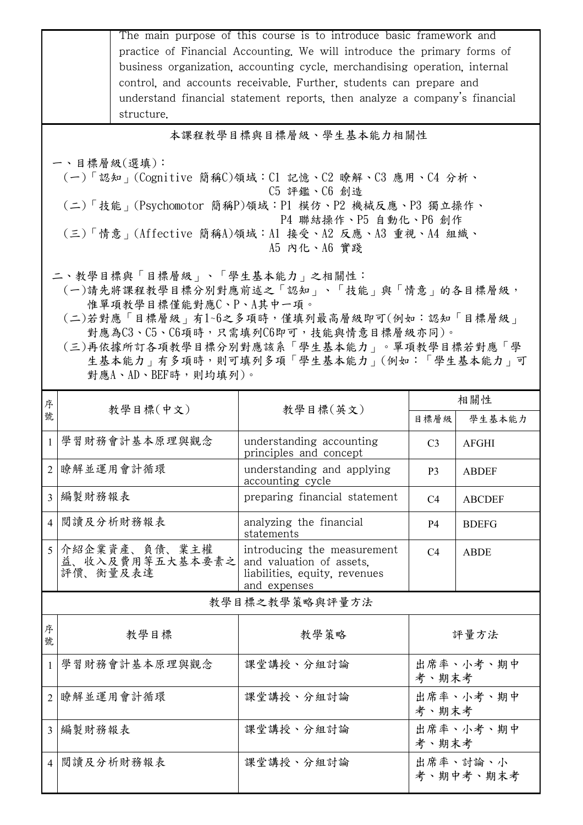|                                                                                                                                                                                                                                                                                                                                                                                                                                                                                                                                              | structure.                                   | The main purpose of this course is to introduce basic framework and<br>practice of Financial Accounting. We will introduce the primary forms of<br>business organization, accounting cycle, merchandising operation, internal<br>control, and accounts receivable. Further, students can prepare and<br>understand financial statement reports, then analyze a company's financial |                    |                       |  |  |  |
|----------------------------------------------------------------------------------------------------------------------------------------------------------------------------------------------------------------------------------------------------------------------------------------------------------------------------------------------------------------------------------------------------------------------------------------------------------------------------------------------------------------------------------------------|----------------------------------------------|------------------------------------------------------------------------------------------------------------------------------------------------------------------------------------------------------------------------------------------------------------------------------------------------------------------------------------------------------------------------------------|--------------------|-----------------------|--|--|--|
|                                                                                                                                                                                                                                                                                                                                                                                                                                                                                                                                              | 本課程教學目標與目標層級、學生基本能力相關性                       |                                                                                                                                                                                                                                                                                                                                                                                    |                    |                       |  |  |  |
| 一、目標層級(選填):<br>(一)「認知」(Cognitive 簡稱C)領域:Cl 記憶、C2 瞭解、C3 應用、C4 分析、<br>C5 評鑑、C6 創造<br>(二)「技能」(Psychomotor 簡稱P)領域:P1 模仿、P2 機械反應、P3 獨立操作、<br>P4 聯結操作、P5 自動化、P6 創作<br>(三)「情意」(Affective 簡稱A)領域:A1 接受、A2 反應、A3 重視、A4 組織、<br>A5 内化、A6 實踐<br>二、教學目標與「目標層級」、「學生基本能力」之相關性:<br>(一)請先將課程教學目標分別對應前述之「認知」、「技能」與「情意」的各目標層級,<br>惟單項教學目標僅能對應C、P、A其中一項。<br>(二)若對應「目標層級」有1~6之多項時,僅填列最高層級即可(例如:認知「目標層級」<br>對應為C3、C5、C6項時,只需填列C6即可,技能與情意目標層級亦同)。<br>(三)再依據所訂各項教學目標分別對應該系「學生基本能力」。單項教學目標若對應「學<br>生基本能力   有多項時,則可填列多項「學生基本能力   (例如:「學生基本能力   可<br>對應A、AD、BEF時,則均填列)。 |                                              |                                                                                                                                                                                                                                                                                                                                                                                    |                    |                       |  |  |  |
| 序                                                                                                                                                                                                                                                                                                                                                                                                                                                                                                                                            | 教學目標(中文)                                     | 教學目標(英文)                                                                                                                                                                                                                                                                                                                                                                           |                    | 相關性                   |  |  |  |
| 號                                                                                                                                                                                                                                                                                                                                                                                                                                                                                                                                            |                                              |                                                                                                                                                                                                                                                                                                                                                                                    | 目標層級               | 學生基本能力                |  |  |  |
| $\mathbf{1}$                                                                                                                                                                                                                                                                                                                                                                                                                                                                                                                                 | 學習財務會計基本原理與觀念                                | understanding accounting<br>principles and concept                                                                                                                                                                                                                                                                                                                                 | C <sub>3</sub>     | <b>AFGHI</b>          |  |  |  |
|                                                                                                                                                                                                                                                                                                                                                                                                                                                                                                                                              | 2 瞭解並運用會計循環                                  | understanding and applying<br>accounting cycle                                                                                                                                                                                                                                                                                                                                     | P3                 | <b>ABDEF</b>          |  |  |  |
| 3                                                                                                                                                                                                                                                                                                                                                                                                                                                                                                                                            | 編製財務報表                                       | preparing financial statement                                                                                                                                                                                                                                                                                                                                                      | C <sub>4</sub>     | <b>ABCDEF</b>         |  |  |  |
| $\overline{4}$                                                                                                                                                                                                                                                                                                                                                                                                                                                                                                                               | 閱讀及分析財務報表                                    | analyzing the financial<br>statements                                                                                                                                                                                                                                                                                                                                              | P4                 | <b>BDEFG</b>          |  |  |  |
| 5                                                                                                                                                                                                                                                                                                                                                                                                                                                                                                                                            | 介紹企業資產、負債、業主權<br>益、收入及費用等五大基本要素之<br>評價、衡量及表達 | introducing the measurement<br>and valuation of assets,<br>liabilities, equity, revenues<br>and expenses                                                                                                                                                                                                                                                                           | C <sub>4</sub>     | <b>ABDE</b>           |  |  |  |
|                                                                                                                                                                                                                                                                                                                                                                                                                                                                                                                                              |                                              | 教學目標之教學策略與評量方法                                                                                                                                                                                                                                                                                                                                                                     |                    |                       |  |  |  |
| 序<br>號                                                                                                                                                                                                                                                                                                                                                                                                                                                                                                                                       | 教學目標                                         | 教學策略                                                                                                                                                                                                                                                                                                                                                                               |                    | 評量方法                  |  |  |  |
| -1                                                                                                                                                                                                                                                                                                                                                                                                                                                                                                                                           | 學習財務會計基本原理與觀念                                | 课堂講授、分組討論                                                                                                                                                                                                                                                                                                                                                                          | 出席率、小考、期中<br>考、期末考 |                       |  |  |  |
| 2                                                                                                                                                                                                                                                                                                                                                                                                                                                                                                                                            | 瞭解並運用會計循環                                    | 課堂講授、分組討論                                                                                                                                                                                                                                                                                                                                                                          | 出席率、小考、期中<br>考、期末考 |                       |  |  |  |
| $\overline{3}$                                                                                                                                                                                                                                                                                                                                                                                                                                                                                                                               | 編製財務報表                                       | 課堂講授、分組討論                                                                                                                                                                                                                                                                                                                                                                          | 出席率、小考、期中<br>考、期末考 |                       |  |  |  |
| $\overline{4}$                                                                                                                                                                                                                                                                                                                                                                                                                                                                                                                               | 閱讀及分析財務報表                                    | 課堂講授、分組討論                                                                                                                                                                                                                                                                                                                                                                          |                    | 出席率、討論、小<br>考、期中考、期末考 |  |  |  |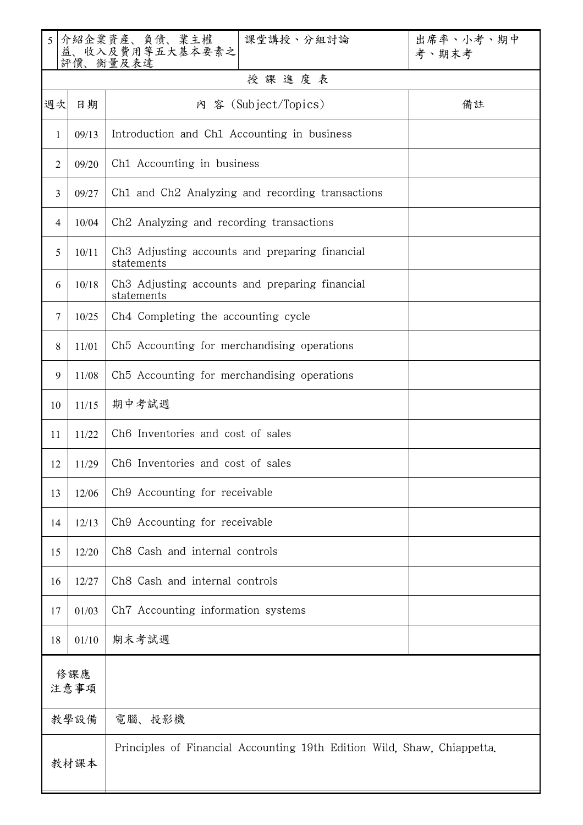| 5 <sup>1</sup> |       | 介紹企業資產、負債、業主權<br>益、收入及費用等五大基本要素之<br>課堂講授、分組討論<br>評價、衡量及表達               | 出席率、小考、期中<br>考、期末考 |  |  |
|----------------|-------|-------------------------------------------------------------------------|--------------------|--|--|
| 授課進度表          |       |                                                                         |                    |  |  |
| 週次             | 日期    | 内 容 (Subject/Topics)                                                    | 備註                 |  |  |
| 1              | 09/13 | Introduction and Ch1 Accounting in business                             |                    |  |  |
| $\overline{2}$ | 09/20 | Ch1 Accounting in business                                              |                    |  |  |
| 3              | 09/27 | Ch1 and Ch2 Analyzing and recording transactions                        |                    |  |  |
| 4              | 10/04 | Ch <sub>2</sub> Analyzing and recording transactions                    |                    |  |  |
| 5              | 10/11 | Ch3 Adjusting accounts and preparing financial<br>statements            |                    |  |  |
| 6              | 10/18 | Ch3 Adjusting accounts and preparing financial<br>statements            |                    |  |  |
| 7              | 10/25 | Ch4 Completing the accounting cycle                                     |                    |  |  |
| 8              | 11/01 | Ch5 Accounting for merchandising operations                             |                    |  |  |
| 9              | 11/08 | Ch5 Accounting for merchandising operations                             |                    |  |  |
| 10             | 11/15 | 期中考試週                                                                   |                    |  |  |
| 11             | 11/22 | Ch6 Inventories and cost of sales                                       |                    |  |  |
| 12             | 11/29 | Ch6 Inventories and cost of sales                                       |                    |  |  |
| 13             | 12/06 | Ch9 Accounting for receivable                                           |                    |  |  |
| 14             | 12/13 | Ch9 Accounting for receivable                                           |                    |  |  |
| 15             | 12/20 | Ch8 Cash and internal controls                                          |                    |  |  |
| 16             | 12/27 | Ch8 Cash and internal controls                                          |                    |  |  |
| 17             | 01/03 | Ch7 Accounting information systems                                      |                    |  |  |
| 18             | 01/10 | 期末考試週                                                                   |                    |  |  |
| 修課應<br>注意事項    |       |                                                                         |                    |  |  |
|                | 教學設備  | 電腦、投影機                                                                  |                    |  |  |
| 教材課本           |       | Principles of Financial Accounting 19th Edition Wild, Shaw, Chiappetta. |                    |  |  |